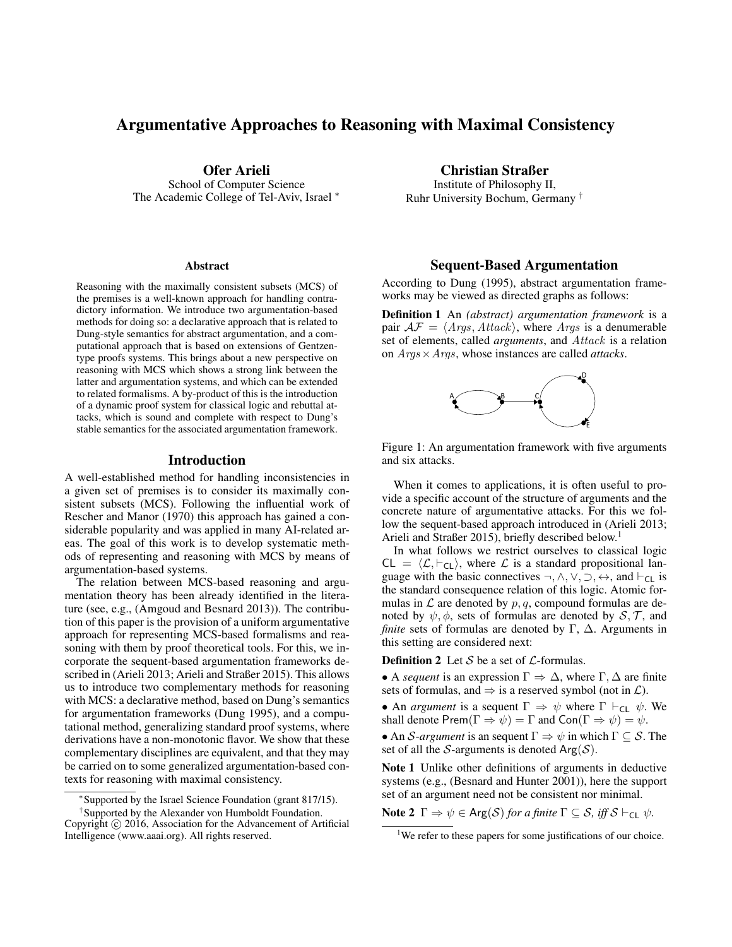# Argumentative Approaches to Reasoning with Maximal Consistency

Ofer Arieli

School of Computer Science The Academic College of Tel-Aviv, Israel <sup>∗</sup>

#### **Abstract**

Reasoning with the maximally consistent subsets (MCS) of the premises is a well-known approach for handling contradictory information. We introduce two argumentation-based methods for doing so: a declarative approach that is related to Dung-style semantics for abstract argumentation, and a computational approach that is based on extensions of Gentzentype proofs systems. This brings about a new perspective on reasoning with MCS which shows a strong link between the latter and argumentation systems, and which can be extended to related formalisms. A by-product of this is the introduction of a dynamic proof system for classical logic and rebuttal attacks, which is sound and complete with respect to Dung's stable semantics for the associated argumentation framework.

#### Introduction

A well-established method for handling inconsistencies in a given set of premises is to consider its maximally consistent subsets (MCS). Following the influential work of Rescher and Manor (1970) this approach has gained a considerable popularity and was applied in many AI-related areas. The goal of this work is to develop systematic methods of representing and reasoning with MCS by means of argumentation-based systems.

The relation between MCS-based reasoning and argumentation theory has been already identified in the literature (see, e.g., (Amgoud and Besnard 2013)). The contribution of this paper is the provision of a uniform argumentative approach for representing MCS-based formalisms and reasoning with them by proof theoretical tools. For this, we incorporate the sequent-based argumentation frameworks described in (Arieli 2013; Arieli and Straßer 2015). This allows us to introduce two complementary methods for reasoning with MCS: a declarative method, based on Dung's semantics for argumentation frameworks (Dung 1995), and a computational method, generalizing standard proof systems, where derivations have a non-monotonic flavor. We show that these complementary disciplines are equivalent, and that they may be carried on to some generalized argumentation-based contexts for reasoning with maximal consistency.

† Supported by the Alexander von Humboldt Foundation.

Christian Straßer

Institute of Philosophy II, Ruhr University Bochum, Germany †

#### Sequent-Based Argumentation

According to Dung (1995), abstract argumentation frameworks may be viewed as directed graphs as follows:

Definition 1 An *(abstract) argumentation framework* is a pair  $AF = \langle Args, Attack\rangle$ , where Args is a denumerable set of elements, called *arguments*, and Attack is a relation on Args×Args, whose instances are called *attacks*.



Figure 1: An argumentation framework with five arguments and six attacks.

When it comes to applications, it is often useful to provide a specific account of the structure of arguments and the concrete nature of argumentative attacks. For this we follow the sequent-based approach introduced in (Arieli 2013; Arieli and Straßer 2015), briefly described below.<sup>1</sup>

In what follows we restrict ourselves to classical logic  $CL = \langle \mathcal{L}, \vdash_{CL} \rangle$ , where  $\mathcal{L}$  is a standard propositional language with the basic connectives  $\neg, \wedge, \vee, \supset, \leftrightarrow$ , and  $\vdash_{\mathsf{CL}}$  is the standard consequence relation of this logic. Atomic formulas in  $\mathcal L$  are denoted by  $p, q$ , compound formulas are denoted by  $\psi$ ,  $\phi$ , sets of formulas are denoted by  $\mathcal{S}, \mathcal{T}$ , and *finite* sets of formulas are denoted by Γ, Δ. Arguments in this setting are considered next:

**Definition 2** Let S be a set of  $\mathcal{L}$ -formulas.

• A *sequent* is an expression  $\Gamma \Rightarrow \Delta$ , where  $\Gamma, \Delta$  are finite sets of formulas, and  $\Rightarrow$  is a reserved symbol (not in  $\mathcal{L}$ ).

• An *argument* is a sequent  $\Gamma \Rightarrow \psi$  where  $\Gamma \vdash_{\mathsf{CL}} \psi$ . We shall denote Prem( $\Gamma \Rightarrow \psi$ ) =  $\Gamma$  and Con( $\Gamma \Rightarrow \psi$ ) =  $\psi$ .

• An S-*argument* is an sequent  $\Gamma \Rightarrow \psi$  in which  $\Gamma \subseteq S$ . The set of all the S-arguments is denoted  $Arg(S)$ .

Note 1 Unlike other definitions of arguments in deductive systems (e.g., (Besnard and Hunter 2001)), here the support set of an argument need not be consistent nor minimal.

**Note 2**  $\Gamma \Rightarrow \psi \in \text{Arg}(\mathcal{S})$  *for a finite*  $\Gamma \subseteq \mathcal{S}$ *, iff*  $\mathcal{S} \vdash_{\text{CL}} \psi$ *.* 

<sup>∗</sup> Supported by the Israel Science Foundation (grant 817/15).

Copyright  $\odot$  2016, Association for the Advancement of Artificial Intelligence (www.aaai.org). All rights reserved.

<sup>&</sup>lt;sup>1</sup>We refer to these papers for some justifications of our choice.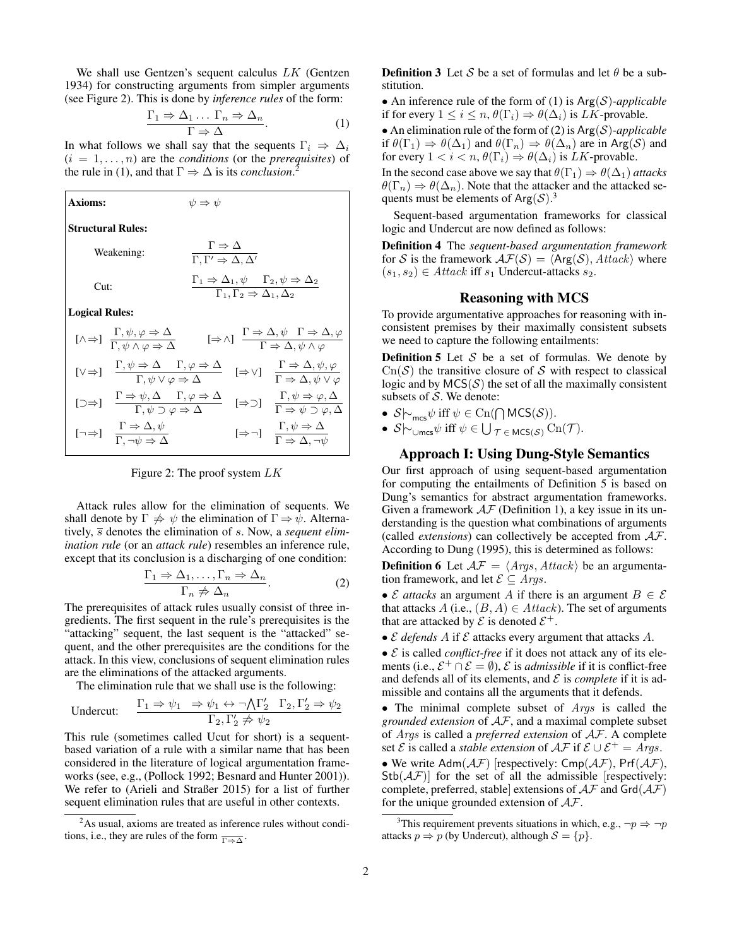We shall use Gentzen's sequent calculus LK (Gentzen 1934) for constructing arguments from simpler arguments (see Figure 2). This is done by *inference rules* of the form:

$$
\frac{\Gamma_1 \Rightarrow \Delta_1 \dots \Gamma_n \Rightarrow \Delta_n}{\Gamma \Rightarrow \Delta}.
$$
 (1)

In what follows we shall say that the sequents  $\Gamma_i \Rightarrow \Delta_i$  $(i = 1, \ldots, n)$  are the *conditions* (or the *prerequisites*) of the rule in (1), and that  $\Gamma \Rightarrow \Delta$  is its *conclusion*.<sup>2</sup>

| <b>Axioms:</b>           |                                                                                                                                                                                                                                                                                                | $\psi \Rightarrow \psi$                                                                                                                    |  |                                                                                                         |
|--------------------------|------------------------------------------------------------------------------------------------------------------------------------------------------------------------------------------------------------------------------------------------------------------------------------------------|--------------------------------------------------------------------------------------------------------------------------------------------|--|---------------------------------------------------------------------------------------------------------|
| <b>Structural Rules:</b> |                                                                                                                                                                                                                                                                                                |                                                                                                                                            |  |                                                                                                         |
| Weakening:               |                                                                                                                                                                                                                                                                                                | $\frac{\Gamma \Rightarrow \Delta}{\Gamma, \Gamma' \Rightarrow \Delta, \Delta'}$                                                            |  |                                                                                                         |
| Cut:                     |                                                                                                                                                                                                                                                                                                | $\frac{\Gamma_1 \Rightarrow \Delta_1, \psi \qquad \Gamma_2, \psi \Rightarrow \Delta_2}{\Gamma_1, \Gamma_2 \Rightarrow \Delta_1, \Delta_2}$ |  |                                                                                                         |
| <b>Logical Rules:</b>    |                                                                                                                                                                                                                                                                                                |                                                                                                                                            |  |                                                                                                         |
|                          | $[\wedge \Rightarrow] \frac{\Gamma, \psi, \varphi \Rightarrow \Delta}{\Gamma, \psi \wedge \varphi \Rightarrow \Delta} \qquad [\Rightarrow \wedge] \frac{\Gamma \Rightarrow \Delta, \psi \Gamma \Rightarrow \Delta, \varphi}{\Gamma \Rightarrow \Delta, \psi \wedge \varphi}$                   |                                                                                                                                            |  |                                                                                                         |
|                          | $[\vee \Rightarrow] \quad \frac{\Gamma, \psi \Rightarrow \Delta \quad \Gamma, \varphi \Rightarrow \Delta}{\Gamma, \psi \vee \varphi \Rightarrow \Delta} \quad [\Rightarrow \vee] \quad \frac{\Gamma \Rightarrow \Delta, \psi, \varphi}{\Gamma \Rightarrow \Delta, \psi \vee \varphi}$          |                                                                                                                                            |  |                                                                                                         |
|                          | $[\Box \Rightarrow] \quad \frac{\Gamma \Rightarrow \psi, \Delta \quad \Gamma, \varphi \Rightarrow \Delta}{\Gamma, \psi \supset \varphi \Rightarrow \Delta} \quad [\Rightarrow \supset] \quad \frac{\Gamma, \psi \Rightarrow \varphi, \Delta}{\Gamma \Rightarrow \psi \supset \varphi, \Delta}$ |                                                                                                                                            |  |                                                                                                         |
|                          | $[\neg \Rightarrow] \quad \frac{\Gamma \Rightarrow \Delta, \psi}{\Gamma, \neg \psi \Rightarrow \Delta}$                                                                                                                                                                                        |                                                                                                                                            |  | $[\Rightarrow \neg] \quad \frac{\Gamma, \psi \Rightarrow \Delta}{\Gamma \Rightarrow \Delta, \neg \psi}$ |

Figure 2: The proof system  $LK$ 

Attack rules allow for the elimination of sequents. We shall denote by  $\Gamma \neq \psi$  the elimination of  $\Gamma \Rightarrow \psi$ . Alternatively,  $\overline{s}$  denotes the elimination of  $s$ . Now, a *sequent elimination rule* (or an *attack rule*) resembles an inference rule, except that its conclusion is a discharging of one condition:

$$
\frac{\Gamma_1 \Rightarrow \Delta_1, \dots, \Gamma_n \Rightarrow \Delta_n}{\Gamma_n \neq \Delta_n}.
$$
 (2)

The prerequisites of attack rules usually consist of three ingredients. The first sequent in the rule's prerequisites is the "attacking" sequent, the last sequent is the "attacked" sequent, and the other prerequisites are the conditions for the attack. In this view, conclusions of sequent elimination rules are the eliminations of the attacked arguments.

The elimination rule that we shall use is the following:

$$
\text{Undercut:}\qquad \frac{\Gamma_1 \Rightarrow \psi_1 \quad \Rightarrow \psi_1 \leftrightarrow \neg \bigwedge \Gamma_2' \quad \Gamma_2, \Gamma_2' \Rightarrow \psi_2}{\Gamma_2, \Gamma_2' \not\Rightarrow \psi_2}
$$

This rule (sometimes called Ucut for short) is a sequentbased variation of a rule with a similar name that has been considered in the literature of logical argumentation frameworks (see, e.g., (Pollock 1992; Besnard and Hunter 2001)). We refer to (Arieli and Straßer 2015) for a list of further sequent elimination rules that are useful in other contexts.

**Definition 3** Let S be a set of formulas and let  $\theta$  be a substitution.

• An inference rule of the form of (1) is Arg(S)*-applicable* if for every  $1 \leq i \leq n$ ,  $\theta(\Gamma_i) \Rightarrow \theta(\Delta_i)$  is *LK*-provable.

• An elimination rule of the form of (2) is Arg(S)*-applicable* if  $\theta(\Gamma_1) \Rightarrow \theta(\Delta_1)$  and  $\theta(\Gamma_n) \Rightarrow \theta(\Delta_n)$  are in Arg(S) and for every  $1 < i < n$ ,  $\theta(\Gamma_i) \Rightarrow \theta(\Delta_i)$  is LK-provable.

In the second case above we say that  $\theta(\Gamma_1) \Rightarrow \theta(\Delta_1)$  *attacks*  $\theta(\Gamma_n) \Rightarrow \theta(\Delta_n)$ . Note that the attacker and the attacked sequents must be elements of Arg $(S)$ .<sup>3</sup>

Sequent-based argumentation frameworks for classical logic and Undercut are now defined as follows:

Definition 4 The *sequent-based argumentation framework* for S is the framework  $\mathcal{AF}(S) = \langle \text{Arg}(S), \text{Attack} \rangle$  where  $(s_1, s_2) \in \text{Attack iff } s_1 \text{ Undercut-attacks } s_2.$ 

#### Reasoning with MCS

To provide argumentative approaches for reasoning with inconsistent premises by their maximally consistent subsets we need to capture the following entailments:

**Definition 5** Let  $S$  be a set of formulas. We denote by  $Cn(S)$  the transitive closure of S with respect to classical logic and by  $MCS(S)$  the set of all the maximally consistent subsets of  $S$ . We denote:

- $S\sim_{\text{mcs}}\psi$  iff  $\psi \in \text{Cn}(\bigcap \text{MCS}(\mathcal{S})).$
- $S\sim_{\cup \text{mcs}}\psi$  iff  $\psi \in \bigcup_{\mathcal{T} \in \text{MCS}(\mathcal{S})} \text{Cn}(\mathcal{T})$ .

### Approach I: Using Dung-Style Semantics

Our first approach of using sequent-based argumentation for computing the entailments of Definition 5 is based on Dung's semantics for abstract argumentation frameworks. Given a framework  $AF$  (Definition 1), a key issue in its understanding is the question what combinations of arguments (called *extensions*) can collectively be accepted from AF. According to Dung (1995), this is determined as follows:

**Definition 6** Let  $AF = \langle Args, Attack\rangle$  be an argumentation framework, and let  $\mathcal{E} \subseteq \text{Arg} s$ .

• E *attacks* an argument A if there is an argument  $B \in \mathcal{E}$ that attacks A (i.e.,  $(B, A) \in Attack$ ). The set of arguments that are attacked by  $\mathcal E$  is denoted  $\mathcal E^+$ .

•  $\mathcal E$  *defends*  $A$  if  $\mathcal E$  attacks every argument that attacks  $A$ .

 $\bullet \mathcal{E}$  is called *conflict-free* if it does not attack any of its elements (i.e.,  $\mathcal{E}^+ \cap \mathcal{E} = \emptyset$ ),  $\mathcal E$  is *admissible* if it is conflict-free and defends all of its elements, and  $\mathcal E$  is *complete* if it is admissible and contains all the arguments that it defends.

• The minimal complete subset of  $A \, r \, gs$  is called the *grounded extension* of AF, and a maximal complete subset of Args is called a *preferred extension* of AF. A complete set *E* is called a *stable extension* of  $\mathcal{AF}$  if  $\mathcal{E} \cup \mathcal{E}^+ = \text{A} \text{rg}$ . • We write  $Adm(\mathcal{AF})$  [respectively:  $Cmp(\mathcal{AF})$ , Prf $(\mathcal{AF})$ ,  $Stb(AF)$  for the set of all the admissible [respectively: complete, preferred, stable extensions of  $A\mathcal{F}$  and  $Grd(A\mathcal{F})$ for the unique grounded extension of  $A\mathcal{F}$ .

<sup>&</sup>lt;sup>2</sup>As usual, axioms are treated as inference rules without conditions, i.e., they are rules of the form  $\frac{}{\Gamma \Rightarrow \Delta}$ .

<sup>&</sup>lt;sup>3</sup>This requirement prevents situations in which, e.g.,  $\neg p \Rightarrow \neg p$ attacks  $p \Rightarrow p$  (by Undercut), although  $S = \{p\}.$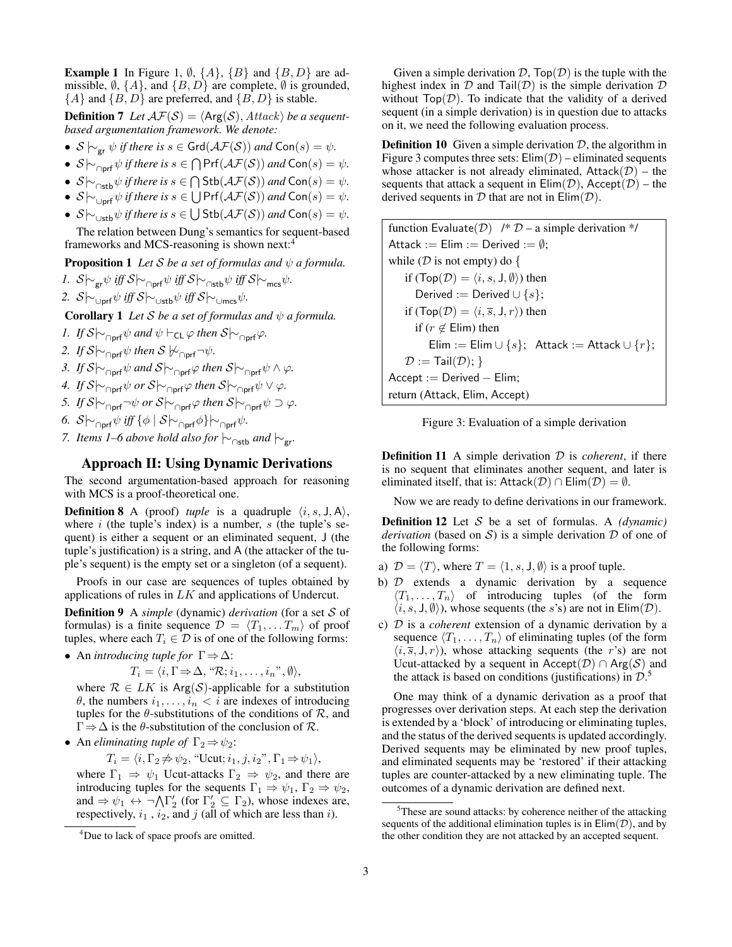**Example 1** In Figure 1,  $\emptyset$ ,  $\{A\}$ ,  $\{B\}$  and  $\{B, D\}$  are admissible,  $\emptyset$ ,  $\{A\}$ , and  $\{B, D\}$  are complete,  $\emptyset$  is grounded,  ${A}$  and  ${B, D}$  are preferred, and  ${B, D}$  is stable.

**Definition 7** Let  $AF(S) = \langle Arg(S), Attack \rangle$  be a sequent*based argumentation framework. We denote:*

- *S*  $\downarrow$ <sub>or</sub>  $\psi$  *if there is s* ∈ Grd( $\mathcal{AF}(S)$ ) *and* Con(*s*) =  $\psi$ .
- $S \vdash_{\cap \text{prf}} \psi$  *if there is*  $s \in \bigcap \text{Prf}(\mathcal{AF}(S))$  *and*  $\text{Con}(s) = \psi$ *.*
- $S\sim_{\cap \text{stb}} \psi$  *if there is*  $s \in \bigcap \text{Stb}(\mathcal{AF}(S))$  *and*  $\text{Con}(s) = \psi$ *.*
- $S \vdash_{\bigcup_{\text{prf}}} \psi$  *if there is*  $s \in \bigcup \text{Prf}(\mathcal{AF}(S))$  *and*  $\text{Con}(s) = \psi$ *.*
- $S \sim_{\cup \text{stb}} \psi$  *if there is*  $s \in \bigcup \text{Stb}(\mathcal{AF}(S))$  *and*  $\text{Con}(s) = \psi$ *.*

The relation between Dung's semantics for sequent-based frameworks and MCS-reasoning is shown next:<sup>4</sup>

**Proposition 1** *Let*  $S$  *be a set of formulas and*  $\psi$  *a formula.* 

*1.*  $S \sim_{\text{gr}} \psi$  *iff*  $S \sim_{\text{Orf}} \psi$  *iff*  $S \sim_{\text{cr}} \psi$  *iff*  $S \sim_{\text{mcs}} \psi$ .

2.  $S \sim_{\cup \text{prf}} \psi \text{ iff } S \sim_{\cup \text{stb}} \psi \text{ iff } S \sim_{\cup \text{mrc}} \psi.$ 

**Corollary 1** *Let*  $S$  *be a set of formulas and*  $\psi$  *a formula.* 

- *1. If*  $S \sim_{\text{porf}} \psi$  *and*  $\psi \vdash_{\text{CL}} \varphi$  *then*  $S \sim_{\text{porf}} \varphi$ *.*
- *2. If*  $S \sim \bigcap_{\text{Dorf}} \psi$  *then*  $S \not\sim \bigcap_{\text{Dorf}} \neg \psi$ *.*
- *3. If*  $S \sim \bigcap_{\text{Opt}} \psi$  *and*  $S \sim \bigcap_{\text{Opt}} \varphi$  *then*  $S \sim \bigcap_{\text{Opt}} \psi \wedge \varphi$ *.*
- *4. If*  $S \sim \bigcap_{\text{Conf}} \psi$  *or*  $S \sim \bigcap_{\text{OPT}} \varphi$  *then*  $S \sim \bigcap_{\text{OPT}} \psi \vee \varphi$ .
- *5. If*  $S \sim \frac{}{C}$   $\sim$   $\frac{1}{\sqrt{C}}$  *or*  $S \sim \frac{}{C}$  *orf*  $\psi$   $\supset \varphi$ *.*
- *6.*  $S \sim_{\text{Opt}} \psi$  *iff*  $\{\phi \mid S \sim_{\text{Opt}} \phi\} \sim_{\text{opt}} \psi$ .
- *7. Items 1–6 above hold also for*  $\sim_{\text{Ostb}}$  *and*  $\sim_{\text{gr}}$ *.*

## Approach II: Using Dynamic Derivations

The second argumentation-based approach for reasoning with MCS is a proof-theoretical one.

**Definition 8** A (proof) *tuple* is a quadruple  $\langle i, s, J, A \rangle$ , where  $i$  (the tuple's index) is a number,  $s$  (the tuple's sequent) is either a sequent or an eliminated sequent, J (the tuple's justification) is a string, and A (the attacker of the tuple's sequent) is the empty set or a singleton (of a sequent).

Proofs in our case are sequences of tuples obtained by applications of rules in LK and applications of Undercut.

Definition 9 A *simple* (dynamic) *derivation* (for a set S of formulas) is a finite sequence  $\mathcal{D} = \langle T_1, \dots, T_m \rangle$  of proof tuples, where each  $T_i \in \mathcal{D}$  is of one of the following forms:

• An *introducing tuple for* Γ⇒∆:

$$
T_i = \langle i, \Gamma \Rightarrow \Delta, \text{``R; } i_1, \ldots, i_n \text{''}, \emptyset \rangle,
$$

where  $\mathcal{R} \in LK$  is Arg(S)-applicable for a substitution  $\theta$ , the numbers  $i_1, \ldots, i_n < i$  are indexes of introducing tuples for the  $\theta$ -substitutions of the conditions of  $\mathcal{R}$ , and  $\Gamma \Rightarrow \Delta$  is the  $\theta$ -substitution of the conclusion of  $\mathcal{R}$ .

• An *eliminating tuple of*  $\Gamma_2 \Rightarrow \psi_2$ :

 $T_i = \langle i, \Gamma_2 \nRightarrow \psi_2$ , "Ucut;  $i_1, j, i_2$ ",  $\Gamma_1 \Rightarrow \psi_1 \rangle$ ,

where  $\Gamma_1 \Rightarrow \psi_1$  Ucut-attacks  $\Gamma_2 \Rightarrow \psi_2$ , and there are introducing tuples for the sequents  $\Gamma_1 \Rightarrow \psi_1, \Gamma_2 \Rightarrow \psi_2$ , and  $\Rightarrow \psi_1 \leftrightarrow \neg \bigwedge \Gamma'_2$  (for  $\Gamma'_2 \subseteq \Gamma_2$ ), whose indexes are, respectively,  $i_1$ ,  $i_2$ , and  $j$  (all of which are less than  $i$ ).

Given a simple derivation  $D$ ,  $Top(\mathcal{D})$  is the tuple with the highest index in  $D$  and Tail $(D)$  is the simple derivation  $D$ without  $\text{Top}(\mathcal{D})$ . To indicate that the validity of a derived sequent (in a simple derivation) is in question due to attacks on it, we need the following evaluation process.

**Definition 10** Given a simple derivation  $D$ , the algorithm in Figure 3 computes three sets:  $Elim(D)$  – eliminated sequents whose attacker is not already eliminated,  $Attack(\mathcal{D})$  – the sequents that attack a sequent in  $Elim(\mathcal{D})$ , Accept $(\mathcal{D})$  – the derived sequents in  $D$  that are not in  $Elim(D)$ .

function Evaluate(D) 
$$
/* D
$$
 – a simple derivation  $*/$   
Attack := Elim := Derived :=  $\emptyset$ ;  
while (D is not empty) do {  
if (Top(D) =  $\langle i, s, J, \emptyset \rangle$ ) then  
Derived := Derived  $\cup \{s\}$ ;  
if (Top(D) =  $\langle i, \overline{s}, J, r \rangle$ ) then  
if  $(r \notin Elim)$  then  
Elim := Elim  $\cup \{s\}$ ; Attack := Attack  $\cup \{r\}$ ;  
 $D := Tail(D)$ ; }  
Accept := Derived – Elim;  
return (Attack, Elim, Accept)



**Definition 11** A simple derivation  $D$  is *coherent*, if there is no sequent that eliminates another sequent, and later is eliminated itself, that is: Attack(D) ∩ Elim(D) =  $\emptyset$ .

Now we are ready to define derivations in our framework.

Definition 12 Let S be a set of formulas. A *(dynamic) derivation* (based on S) is a simple derivation  $D$  of one of the following forms:

- a)  $\mathcal{D} = \langle T \rangle$ , where  $T = \langle 1, s, J, \emptyset \rangle$  is a proof tuple.
- b)  $D$  extends a dynamic derivation by a sequence  $\langle T_1, \ldots, T_n \rangle$  of introducing tuples (of the form  $\langle i, s, J, \emptyset \rangle$ , whose sequents (the s's) are not in Elim(D).
- c) D is a *coherent* extension of a dynamic derivation by a sequence  $\langle T_1, \ldots, T_n \rangle$  of eliminating tuples (of the form  $\langle i, \overline{s}, J, r \rangle$ , whose attacking sequents (the r's) are not Ucut-attacked by a sequent in Accept( $\mathcal{D}$ )  $\cap$  Arg( $\mathcal{S}$ ) and the attack is based on conditions (justifications) in  $\mathcal{D}$ .<sup>5</sup>

One may think of a dynamic derivation as a proof that progresses over derivation steps. At each step the derivation is extended by a 'block' of introducing or eliminating tuples, and the status of the derived sequents is updated accordingly. Derived sequents may be eliminated by new proof tuples, and eliminated sequents may be 'restored' if their attacking tuples are counter-attacked by a new eliminating tuple. The outcomes of a dynamic derivation are defined next.

<sup>&</sup>lt;sup>4</sup>Due to lack of space proofs are omitted.

 $5$ These are sound attacks: by coherence neither of the attacking sequents of the additional elimination tuples is in  $Elim(\mathcal{D})$ , and by the other condition they are not attacked by an accepted sequent.